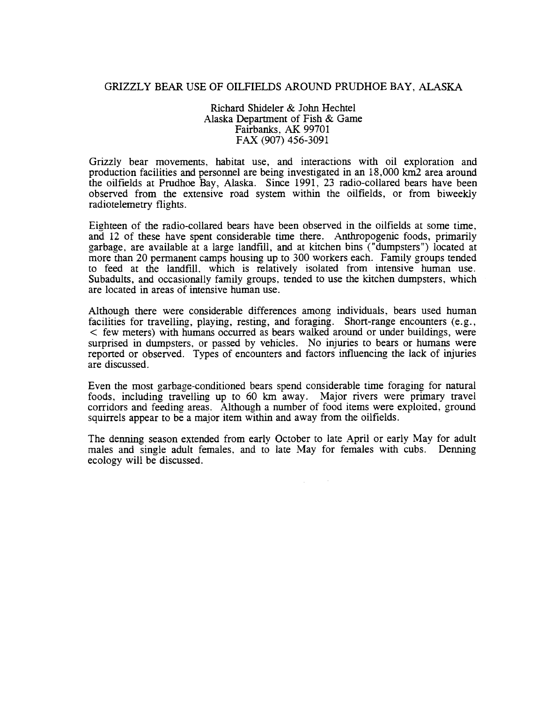#### GRIZZLY BEAR USE OF OILFIELDS AROUND PRUDHOE BAY, ALASKA

Richard Shideler & John Hechtel Alaska Departtnent of Fish & Game Fairbanks, AK 99701 FAX (907) 456-3091

Grizzly bear movements, habitat use, and interactions with oil exploration and production facilities and personnel are being investigated in an 18,000 km2 area around the oilfields at Prudhoe Bay, Alaska. Since 1991, 23 radio-collared bears have been observed from the extensive road system within the oilfields, or from biweekly radiotelemetry flights.

Eighteen of the radio-collared bears have been observed in the oilfields at some time, and 12 of these have spent considerable time there. Anthropogenic foods, primarily garbage, are available at a large landfill, and at kitchen bins ("dumpsters") located at more than 20 permanent camps housing up to 300 workers each. Family groups tended to feed at the landfill. which is relatively isolated from intensive human use. Subadults, and occasionally family groups, tended to use the kitchen dumpsters, which are located in areas of intensive human use.

Although there were considerable differences among individuals, bears used human facilities for travelling, playing, resting, and foraging. Short-range encounters (e.g., < few meters) with humans occurred as bears walked around or under buildings, were surprised in dumpsters, or passed by vehicles. No injuries to bears or humans were reported or observed. Types of encounters and factors influencing the lack of injuries are discussed.

Even the most garbage-conditioned bears spend considerable time foraging for natural foods, including travelling up to 60 km away. Major rivers were primary travel corridors and feeding areas. Although a number of food items were exploited, ground squirrels appear to be a major item within and away from the oilfields.

The denning season extended from early October to late April or early May for adult males and single adult females, and to late May for females with cubs. Denning ecology will be discussed.

 $\Delta \sim 10^{11}$  km s  $^{-1}$